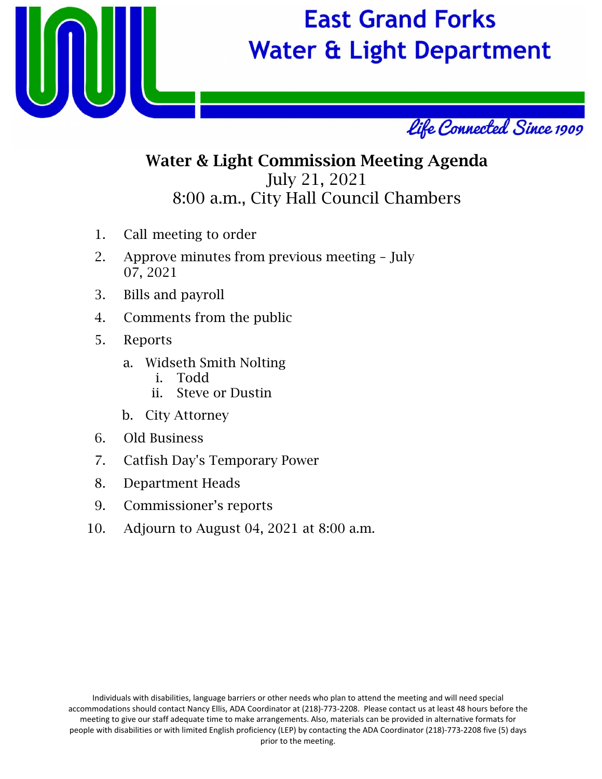

# **East Grand Forks Water & Light Department**



# Water & Light Commission Meeting Agenda July 21, 2021 8:00 a.m., City Hall Council Chambers

- 1. Call meeting to order
- 2. Approve minutes from previous meeting July 07, 2021
- 3. Bills and payroll
- 4. Comments from the public
- 5. Reports
	- a. Widseth Smith Nolting
		- i. Todd
		- ii. Steve or Dustin
	- b. City Attorney
- 6. Old Business
- 7. Catfish Day's Temporary Power
- 8. Department Heads
- 9. Commissioner's reports
- 10. Adjourn to August 04, 2021 at 8:00 a.m.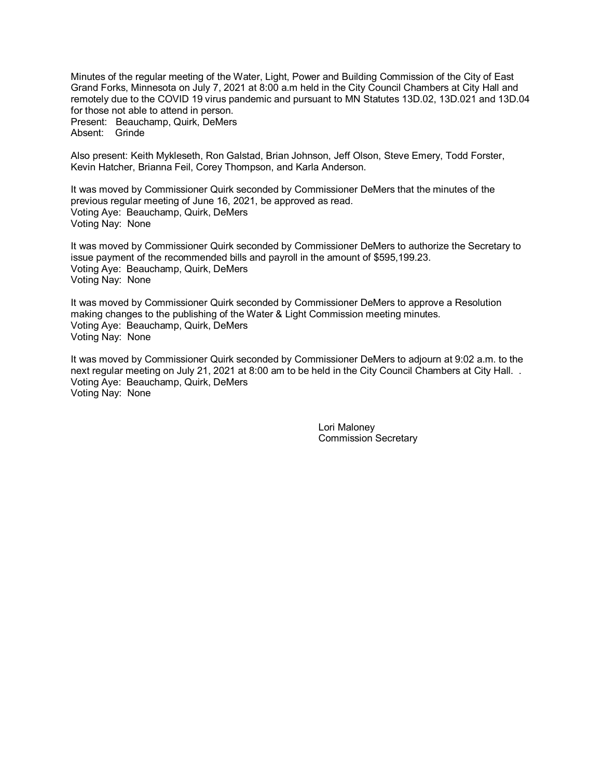Minutes of the regular meeting of the Water, Light, Power and Building Commission of the City of East Grand Forks, Minnesota on July 7, 2021 at 8:00 a.m held in the City Council Chambers at City Hall and remotely due to the COVID 19 virus pandemic and pursuant to MN Statutes 13D.02, 13D.021 and 13D.04 for those not able to attend in person. Present: Beauchamp, Quirk, DeMers Absent: Grinde

Also present: Keith Mykleseth, Ron Galstad, Brian Johnson, Jeff Olson, Steve Emery, Todd Forster, Kevin Hatcher, Brianna Feil, Corey Thompson, and Karla Anderson.

It was moved by Commissioner Quirk seconded by Commissioner DeMers that the minutes of the previous regular meeting of June 16, 2021, be approved as read. Voting Aye: Beauchamp, Quirk, DeMers Voting Nay: None

It was moved by Commissioner Quirk seconded by Commissioner DeMers to authorize the Secretary to issue payment of the recommended bills and payroll in the amount of \$595,199.23. Voting Aye: Beauchamp, Quirk, DeMers Voting Nay: None

It was moved by Commissioner Quirk seconded by Commissioner DeMers to approve a Resolution making changes to the publishing of the Water & Light Commission meeting minutes. Voting Aye: Beauchamp, Quirk, DeMers Voting Nay: None

It was moved by Commissioner Quirk seconded by Commissioner DeMers to adjourn at 9:02 a.m. to the next regular meeting on July 21, 2021 at 8:00 am to be held in the City Council Chambers at City Hall. . Voting Aye: Beauchamp, Quirk, DeMers Voting Nay: None

> Lori Maloney Commission Secretary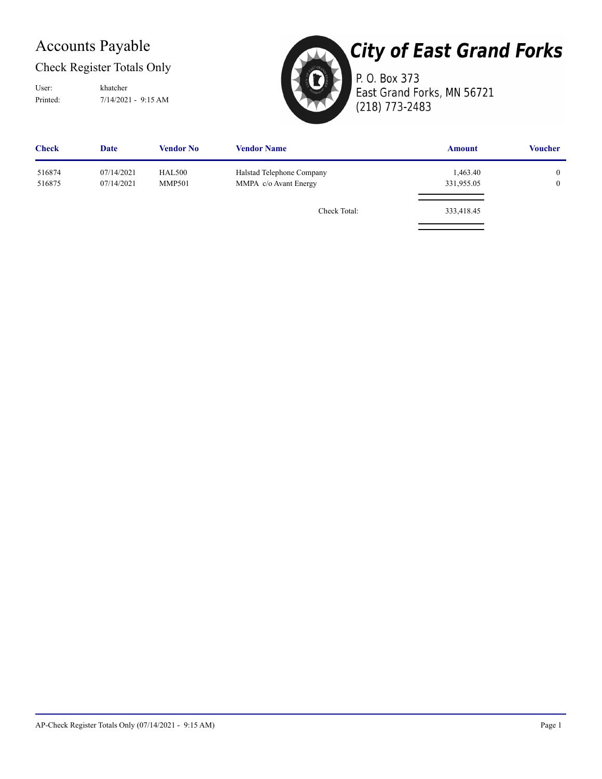## Accounts Payable

#### Check Register Totals Only

Printed: 7/14/2021 - 9:15 AM User: khatcher



# **City of East Grand Forks**

P. O. Box 373 East Grand Forks, MN 56721 (218) 773-2483

| <b>Check</b> | <b>Date</b> | Vendor No     | <b>Vendor Name</b>        | <b>Amount</b> | <b>Voucher</b> |
|--------------|-------------|---------------|---------------------------|---------------|----------------|
| 516874       | 07/14/2021  | <b>HAL500</b> | Halstad Telephone Company | 1,463.40      | 0              |
| 516875       | 07/14/2021  | <b>MMP501</b> | MMPA c/o Avant Energy     | 331,955.05    | $\mathbf{0}$   |
|              |             |               | Check Total:              | 333,418.45    |                |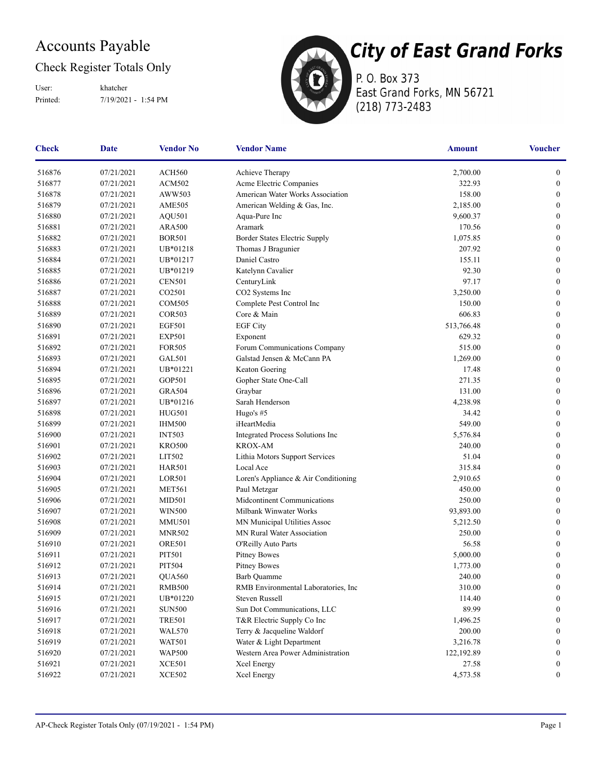## Accounts Payable

#### Check Register Totals Only

Printed: 7/19/2021 - 1:54 PM User: khatcher



P. O. Box 373 East Grand Forks, MN 56721 (218) 773-2483

| <b>Check</b> | <b>Date</b> | <b>Vendor No</b> | <b>Vendor Name</b>                   | <b>Amount</b> | <b>Voucher</b>   |
|--------------|-------------|------------------|--------------------------------------|---------------|------------------|
| 516876       | 07/21/2021  | ACH560           | Achieve Therapy                      | 2,700.00      | $\boldsymbol{0}$ |
| 516877       | 07/21/2021  | <b>ACM502</b>    | Acme Electric Companies              | 322.93        | $\boldsymbol{0}$ |
| 516878       | 07/21/2021  | AWW503           | American Water Works Association     | 158.00        | $\boldsymbol{0}$ |
| 516879       | 07/21/2021  | <b>AME505</b>    | American Welding & Gas, Inc.         | 2,185.00      | $\boldsymbol{0}$ |
| 516880       | 07/21/2021  | AQU501           | Aqua-Pure Inc                        | 9,600.37      | $\boldsymbol{0}$ |
| 516881       | 07/21/2021  | <b>ARA500</b>    | Aramark                              | 170.56        | $\boldsymbol{0}$ |
| 516882       | 07/21/2021  | <b>BOR501</b>    | Border States Electric Supply        | 1,075.85      | $\boldsymbol{0}$ |
| 516883       | 07/21/2021  | UB*01218         | Thomas J Bragunier                   | 207.92        | $\boldsymbol{0}$ |
| 516884       | 07/21/2021  | UB*01217         | Daniel Castro                        | 155.11        | $\boldsymbol{0}$ |
| 516885       | 07/21/2021  | UB*01219         | Katelynn Cavalier                    | 92.30         | $\boldsymbol{0}$ |
| 516886       | 07/21/2021  | <b>CEN501</b>    | CenturyLink                          | 97.17         | $\boldsymbol{0}$ |
| 516887       | 07/21/2021  | CO2501           | CO2 Systems Inc                      | 3,250.00      | $\boldsymbol{0}$ |
| 516888       | 07/21/2021  | <b>COM505</b>    | Complete Pest Control Inc            | 150.00        | $\boldsymbol{0}$ |
| 516889       | 07/21/2021  | <b>COR503</b>    | Core & Main                          | 606.83        | $\boldsymbol{0}$ |
| 516890       | 07/21/2021  | <b>EGF501</b>    | <b>EGF City</b>                      | 513,766.48    | $\boldsymbol{0}$ |
| 516891       | 07/21/2021  | <b>EXP501</b>    | Exponent                             | 629.32        | $\boldsymbol{0}$ |
| 516892       | 07/21/2021  | <b>FOR505</b>    | Forum Communications Company         | 515.00        | $\boldsymbol{0}$ |
| 516893       | 07/21/2021  | GAL501           | Galstad Jensen & McCann PA           | 1,269.00      | $\boldsymbol{0}$ |
| 516894       | 07/21/2021  | UB*01221         | Keaton Goering                       | 17.48         | $\boldsymbol{0}$ |
| 516895       | 07/21/2021  | GOP501           | Gopher State One-Call                | 271.35        | $\boldsymbol{0}$ |
| 516896       | 07/21/2021  | <b>GRA504</b>    | Graybar                              | 131.00        | $\boldsymbol{0}$ |
| 516897       | 07/21/2021  | UB*01216         | Sarah Henderson                      | 4,238.98      | $\boldsymbol{0}$ |
| 516898       | 07/21/2021  | <b>HUG501</b>    | Hugo's $#5$                          | 34.42         | $\boldsymbol{0}$ |
| 516899       | 07/21/2021  | <b>IHM500</b>    | iHeartMedia                          | 549.00        | $\boldsymbol{0}$ |
| 516900       | 07/21/2021  | <b>INT503</b>    | Integrated Process Solutions Inc     | 5,576.84      | $\boldsymbol{0}$ |
| 516901       | 07/21/2021  | <b>KRO500</b>    | <b>KROX-AM</b>                       | 240.00        | $\boldsymbol{0}$ |
| 516902       | 07/21/2021  | LIT502           | Lithia Motors Support Services       | 51.04         | $\boldsymbol{0}$ |
| 516903       | 07/21/2021  | <b>HAR501</b>    | Local Ace                            | 315.84        | $\boldsymbol{0}$ |
| 516904       | 07/21/2021  | LOR501           | Loren's Appliance & Air Conditioning | 2,910.65      | $\boldsymbol{0}$ |
| 516905       | 07/21/2021  | <b>MET561</b>    | Paul Metzgar                         | 450.00        | $\boldsymbol{0}$ |
| 516906       | 07/21/2021  | <b>MID501</b>    | Midcontinent Communications          | 250.00        | $\boldsymbol{0}$ |
| 516907       | 07/21/2021  | <b>WIN500</b>    | Milbank Winwater Works               | 93,893.00     | $\boldsymbol{0}$ |
| 516908       | 07/21/2021  | <b>MMU501</b>    | MN Municipal Utilities Assoc         | 5,212.50      | $\boldsymbol{0}$ |
| 516909       | 07/21/2021  | <b>MNR502</b>    | MN Rural Water Association           | 250.00        | $\boldsymbol{0}$ |
| 516910       | 07/21/2021  | <b>ORE501</b>    | O'Reilly Auto Parts                  | 56.58         | $\boldsymbol{0}$ |
| 516911       | 07/21/2021  | PIT501           | <b>Pitney Bowes</b>                  | 5,000.00      | $\boldsymbol{0}$ |
| 516912       | 07/21/2021  | PIT504           | <b>Pitney Bowes</b>                  | 1,773.00      | $\boldsymbol{0}$ |
| 516913       | 07/21/2021  | QUA560           | Barb Quamme                          | 240.00        | $\boldsymbol{0}$ |
| 516914       | 07/21/2021  | <b>RMB500</b>    | RMB Environmental Laboratories, Inc  | 310.00        | $\boldsymbol{0}$ |
| 516915       | 07/21/2021  | UB*01220         | Steven Russell                       | 114.40        | $\boldsymbol{0}$ |
| 516916       | 07/21/2021  | <b>SUN500</b>    | Sun Dot Communications, LLC          | 89.99         | $\boldsymbol{0}$ |
| 516917       | 07/21/2021  | <b>TRE501</b>    | T&R Electric Supply Co Inc           | 1,496.25      | $\boldsymbol{0}$ |
| 516918       | 07/21/2021  | <b>WAL570</b>    | Terry & Jacqueline Waldorf           | 200.00        | $\bf{0}$         |
| 516919       | 07/21/2021  | <b>WAT501</b>    | Water & Light Department             | 3,216.78      | $\bf{0}$         |
| 516920       | 07/21/2021  | <b>WAP500</b>    | Western Area Power Administration    | 122,192.89    | $\mathbf{0}$     |
| 516921       | 07/21/2021  | <b>XCE501</b>    | Xcel Energy                          | 27.58         | $\boldsymbol{0}$ |
| 516922       | 07/21/2021  | <b>XCE502</b>    | Xcel Energy                          | 4,573.58      | $\boldsymbol{0}$ |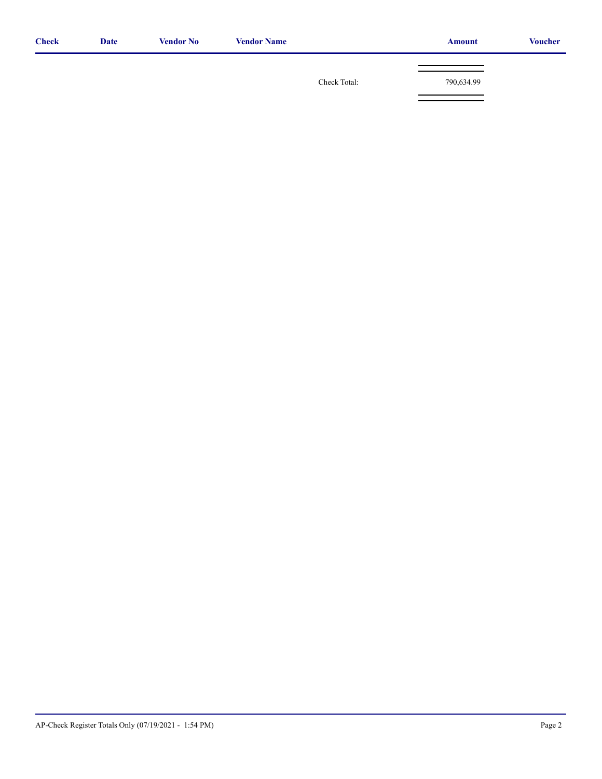| <b>Check</b> | <b>Date</b> | <b>Vendor No</b> | <b>Vendor Name</b> |              | <b>Amount</b> | <b>Voucher</b> |
|--------------|-------------|------------------|--------------------|--------------|---------------|----------------|
|              |             |                  |                    |              |               |                |
|              |             |                  |                    | Check Total: | 790,634.99    |                |
|              |             |                  |                    |              |               |                |
|              |             |                  |                    |              |               |                |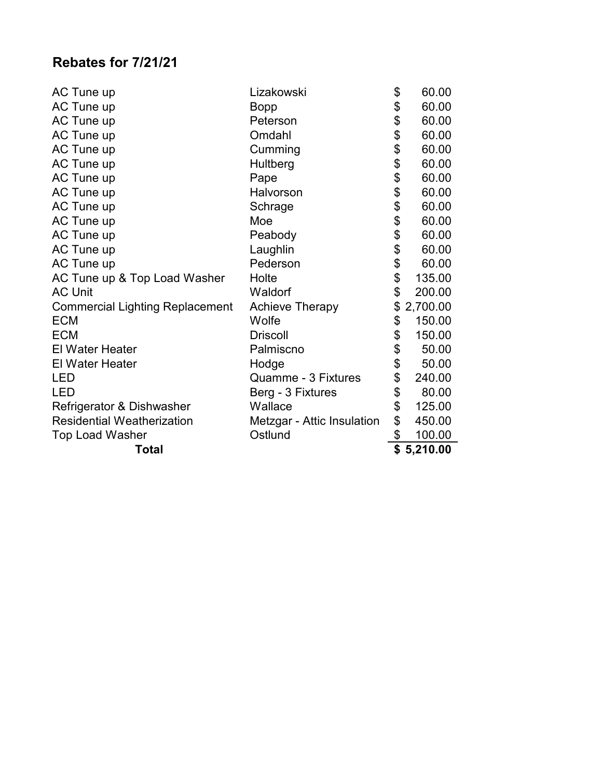### **Rebates for 7/21/21**

| AC Tune up                             | Lizakowski                 | \$<br>60.00    |
|----------------------------------------|----------------------------|----------------|
| AC Tune up                             | Bopp                       | \$<br>60.00    |
| AC Tune up                             | Peterson                   | \$<br>60.00    |
| AC Tune up                             | Omdahl                     | \$<br>60.00    |
| AC Tune up                             | Cumming                    | \$<br>60.00    |
| AC Tune up                             | Hultberg                   | \$<br>60.00    |
| AC Tune up                             | Pape                       | \$<br>60.00    |
| AC Tune up                             | Halvorson                  | \$<br>60.00    |
| AC Tune up                             | Schrage                    | 60.00          |
| AC Tune up                             | Moe                        | \$<br>60.00    |
| AC Tune up                             | Peabody                    | \$<br>60.00    |
| AC Tune up                             | Laughlin                   | \$<br>60.00    |
| AC Tune up                             | Pederson                   | \$<br>60.00    |
| AC Tune up & Top Load Washer           | Holte                      | \$<br>135.00   |
| <b>AC Unit</b>                         | Waldorf                    | \$<br>200.00   |
| <b>Commercial Lighting Replacement</b> | <b>Achieve Therapy</b>     | \$<br>2,700.00 |
| <b>ECM</b>                             | Wolfe                      | \$<br>150.00   |
| <b>ECM</b>                             | <b>Driscoll</b>            | \$<br>150.00   |
| <b>El Water Heater</b>                 | Palmiscno                  | \$<br>50.00    |
| <b>El Water Heater</b>                 | Hodge                      | \$<br>50.00    |
| LED                                    | Quamme - 3 Fixtures        | \$<br>240.00   |
| LED                                    | Berg - 3 Fixtures          | \$<br>80.00    |
| Refrigerator & Dishwasher              | Wallace                    | \$<br>125.00   |
| <b>Residential Weatherization</b>      | Metzgar - Attic Insulation | \$<br>450.00   |
| <b>Top Load Washer</b>                 | Ostlund                    | \$<br>100.00   |
| <b>Total</b>                           |                            | \$<br>5,210.00 |